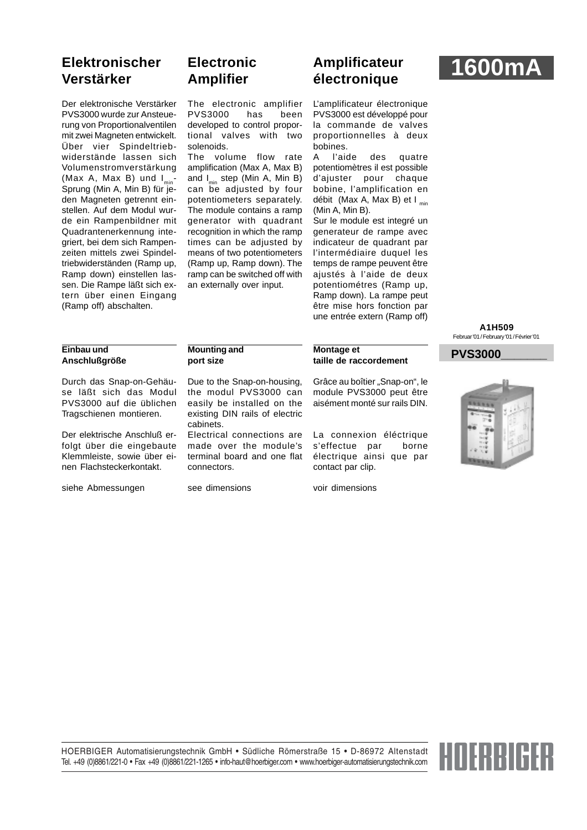# **Elektronischer Verstärker**

Der elektronische Verstärker PVS3000 wurde zur Ansteuerung von Proportionalventilen mit zwei Magneten entwickelt. Über vier Spindeltriebwiderstände lassen sich Volumenstromverstärkung (Max A, Max B) und  $I_{min}$ -Sprung (Min A, Min B) für jeden Magneten getrennt einstellen. Auf dem Modul wurde ein Rampenbildner mit Quadrantenerkennung integriert, bei dem sich Rampenzeiten mittels zwei Spindeltriebwiderständen (Ramp up, Ramp down) einstellen lassen. Die Rampe läßt sich extern über einen Eingang (Ramp off) abschalten.

# **Electronic Amplifier**

The electronic amplifier PVS3000 has been developed to control proportional valves with two solenoids.

The volume flow rate amplification (Max A, Max B) and  $I_{\min}$  step (Min A, Min B) can be adjusted by four potentiometers separately. The module contains a ramp generator with quadrant recognition in which the ramp times can be adjusted by means of two potentiometers (Ramp up, Ramp down). The ramp can be switched off with an externally over input.

# **Amplificateur électronique 1600mA**

L'amplificateur électronique PVS3000 est développé pour la commande de valves proportionnelles à deux bobines.

A l'aide des quatre potentiomètres il est possible d'ajuster pour chaque bobine, l'amplification en débit (Max A, Max B) et  $I_{min}$ (Min A, Min B).

Sur le module est integré un generateur de rampe avec indicateur de quadrant par l'intermédiaire duquel les temps de rampe peuvent être ajustés à l'aide de deux potentiométres (Ramp up, Ramp down). La rampe peut être mise hors fonction par une entrée extern (Ramp off)

### **Einbau und Anschlußgröße**

Durch das Snap-on-Gehäuse läßt sich das Modul PVS3000 auf die üblichen Tragschienen montieren.

Der elektrische Anschluß erfolgt über die eingebaute Klemmleiste, sowie über einen Flachsteckerkontakt.

siehe Abmessungen

### **Mounting and port size**

see dimensions

Due to the Snap-on-housing, the modul PVS3000 can easily be installed on the existing DIN rails of electric cabinets.

Electrical connections are made over the module's terminal board and one flat connectors.

voir dimensions

contact par clip.

**Montage et**

**taille de raccordement**

Grâce au boîtier "Snap-on", le module PVS3000 peut être aisément monté sur rails DIN.

La connexion éléctrique s'effectue par borne électrique ainsi que par

**A1H509** Februar '01 / February '01 / Février '01

# **PVS3000\_\_\_\_\_\_\_**



### HOERBIGER Automatisierungstechnik GmbH • Südliche Römerstraße 15 • D-86972 Altenstadt Tel. +49 (0)8861/221-0 • Fax +49 (0)8861/221-1265 • info-haut@hoerbiger.com • www.hoerbiger-automatisierungstechnik.com

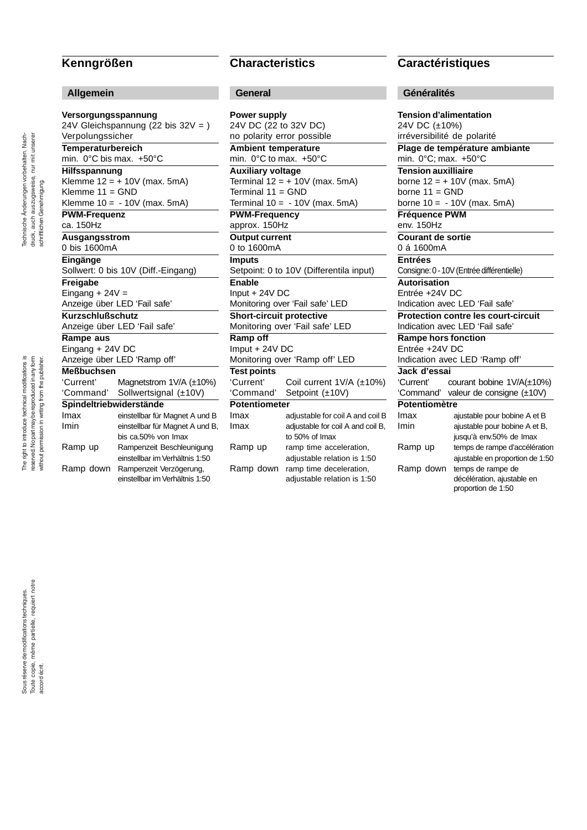## **Kenngrößen**

### **Allgemein**

**Versorgungsspannung** 24V Gleichspannung (22 bis 32V = ) Verpolungssicher **Temperaturbereich** min. 0°C bis max. +50°C **Hilfsspannung** Klemme  $12 = +10V$  (max. 5mA) Klemme 11 = GND Klemme 10 = - 10V (max. 5mA) **PWM-Frequenz** ca. 150Hz **Ausgangsstrom** 0 bis 1600mA **Eingänge** Sollwert: 0 bis 10V (Diff.-Eingang) **Freigabe** Eingang  $+ 24V =$ Anzeige über LED 'Fail safe' **Kurzschlußschutz** Anzeige über LED 'Fail safe' **Rampe aus** Eingang + 24V DC Anzeige über LED 'Ramp off' **Meßbuchsen** Magnetstrom  $1V/A$  ( $\pm 10\%$ ) 'Command' Sollwertsignal (±10V) **Spindeltriebwiderstände** Imax einstellbar für Magnet A und B Imin einstellbar für Magnet A und B, bis ca.50% von Imax Ramp up Rampenzeit Beschleunigung einstellbar im Verhältnis 1:50 Ramp down Rampenzeit Verzögerung, einstellbar im Verhältnis 1:50

# **Characteristics**

## **General**

**Power supply** 24V DC (22 to 32V DC) no polarity error possible **Ambient temperature** min. 0°C to max. +50°C **Auxiliary voltage** Terminal  $12 = +10V$  (max. 5mA) Terminal 11 = GND Terminal  $10 = -10V$  (max. 5mA) **PWM-Frequency** approx. 150Hz **Output current** 0 to 1600mA **Imputs** Setpoint: 0 to 10V (Differentila input) **Enable** Input + 24V DC Monitoring over 'Fail safe' LED **Short-circuit protective** Monitoring over 'Fail safe' LED **Ramp off** Imput + 24V DC Monitoring over 'Ramp off' LED **Test points** Coil current  $1V/A$  ( $\pm 10\%$ ) 'Command' Setpoint (±10V) **Potentiometer** Imax adjustable for coil A and coil B Imax adjustable for coil A and coil B, to 50% of Imax Ramp up ramp time acceleration, adjustable relation is 1:50 Ramp down ramp time deceleration, adjustable relation is 1:50

## **Caractéristiques**

### **Généralités**

**Tension d'alimentation** 24V DC (±10%) irréversibilité de polarité **Plage de température ambiante** min. 0°C; max. +50°C **Tension auxilliaire** borne 12 = + 10V (max. 5mA) borne  $11 =$  GND borne  $10 = -10V$  (max. 5mA) **Fréquence PWM** env. 150Hz **Courant de sortie** 0 á 1600mA **Entrées** Consigne: 0 - 10V (Entrée différentielle) **Autorisation** Entrée +24V DC Indication avec LED 'Fail safe' **Protection contre les court-circuit** Indication avec LED 'Fail safe' **Rampe hors fonction** Entrée +24V DC Indication avec LED 'Ramp off' **Jack d'essai** courant bobine 1V/A(±10%) 'Command' valeur de consigne (±10V) **Potentiomètre** ajustable pour bobine A et B Imin ajustable pour bobine A et B, jusqu'à env.50% de Imax Ramp up temps de rampe d'accélération ajustable en proportion de 1:50 Ramp down temps de rampe de décélération, ajustable en proportion de 1:50

Technische Änderungen vorbehalten. Nachdruck, auch auszugsweise, nur mit unserer Technische Änderungen vorbehalten. Nachdruck, auch auszugsweise, nur mit unserer schriftlichen Genehmigung. schriftlichen Genehmigung.

The right to introduce technical modifications is The right to introduce technical modifications is reserved. No part may be reproduced in any form reserved. No part may be reproduced in any form without permission in writing from the publisher. without permission in writing from the publisher.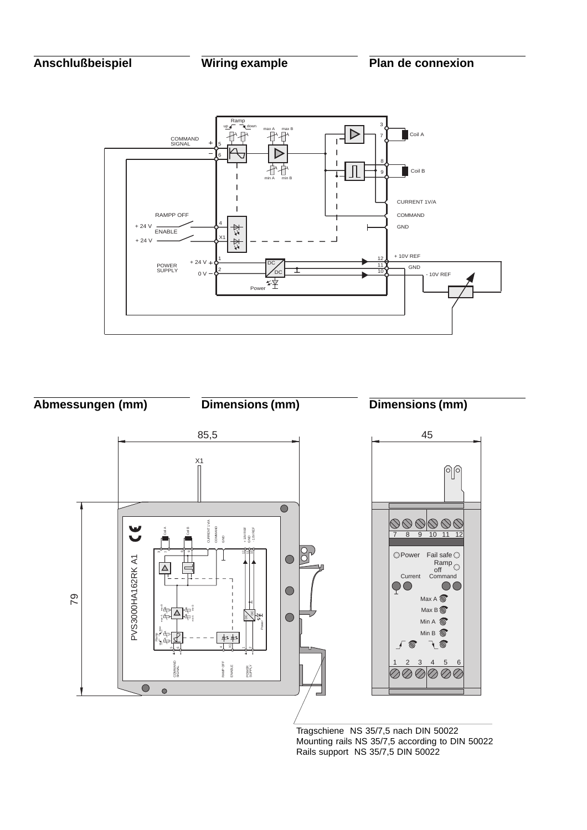



Tragschiene NS 35/7,5 nach DIN 50022 Mounting rails NS 35/7,5 according to DIN 50022 Rails support NS 35/7,5 DIN 50022